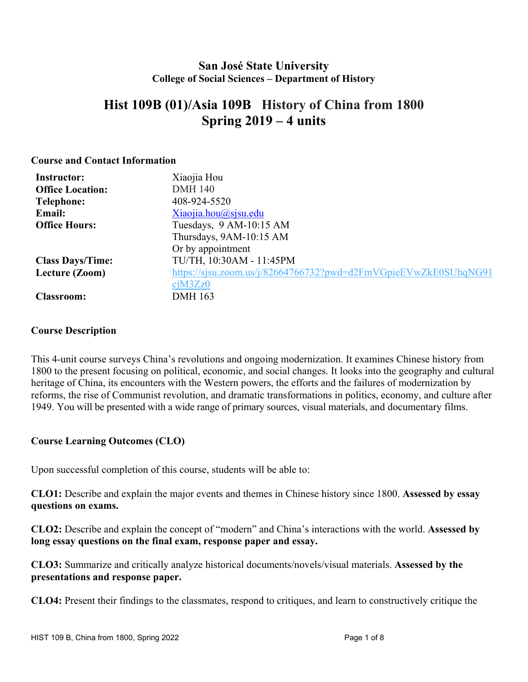## **San José State University College of Social Sciences – Department of History**

# **Hist 109B (01)/Asia 109B History of China from 1800 Spring 2019 – 4 units**

#### **Course and Contact Information**

| <b>Instructor:</b>      | Xiaojia Hou                                                     |
|-------------------------|-----------------------------------------------------------------|
| <b>Office Location:</b> | <b>DMH 140</b>                                                  |
| <b>Telephone:</b>       | 408-924-5520                                                    |
| Email:                  | Xiaojia.hou@sjsu.edu                                            |
| <b>Office Hours:</b>    | Tuesdays, 9 AM-10:15 AM                                         |
|                         | Thursdays, 9AM-10:15 AM                                         |
|                         | Or by appointment                                               |
| <b>Class Days/Time:</b> | TU/TH, 10:30AM - 11:45PM                                        |
| Lecture (Zoom)          | https://sjsu.zoom.us/j/82664766732?pwd=d2FmVGpieEVwZkE0SUhqNG91 |
|                         | ciM3Zz0                                                         |
| <b>Classroom:</b>       | <b>DMH 163</b>                                                  |

#### **Course Description**

This 4-unit course surveys China's revolutions and ongoing modernization. It examines Chinese history from 1800 to the present focusing on political, economic, and social changes. It looks into the geography and cultural heritage of China, its encounters with the Western powers, the efforts and the failures of modernization by reforms, the rise of Communist revolution, and dramatic transformations in politics, economy, and culture after 1949. You will be presented with a wide range of primary sources, visual materials, and documentary films.

### **Course Learning Outcomes (CLO)**

Upon successful completion of this course, students will be able to:

**CLO1:** Describe and explain the major events and themes in Chinese history since 1800. **Assessed by essay questions on exams.** 

**CLO2:** Describe and explain the concept of "modern" and China's interactions with the world. **Assessed by long essay questions on the final exam, response paper and essay.** 

**CLO3:** Summarize and critically analyze historical documents/novels/visual materials. **Assessed by the presentations and response paper.** 

**CLO4:** Present their findings to the classmates, respond to critiques, and learn to constructively critique the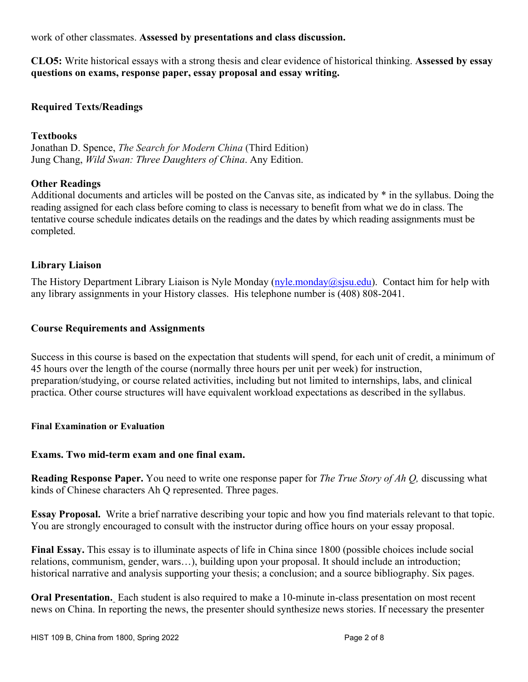work of other classmates. **Assessed by presentations and class discussion.** 

**CLO5:** Write historical essays with a strong thesis and clear evidence of historical thinking. **Assessed by essay questions on exams, response paper, essay proposal and essay writing.** 

## **Required Texts/Readings**

### **Textbooks**

Jonathan D. Spence, *The Search for Modern China* (Third Edition) Jung Chang, *Wild Swan: Three Daughters of China*. Any Edition.

### **Other Readings**

Additional documents and articles will be posted on the Canvas site, as indicated by \* in the syllabus. Doing the reading assigned for each class before coming to class is necessary to benefit from what we do in class. The tentative course schedule indicates details on the readings and the dates by which reading assignments must be completed.

## **Library Liaison**

The History Department Library Liaison is Nyle Monday (nyle.monday@sjsu.edu). Contact him for help with any library assignments in your History classes. His telephone number is (408) 808-2041.

## **Course Requirements and Assignments**

Success in this course is based on the expectation that students will spend, for each unit of credit, a minimum of 45 hours over the length of the course (normally three hours per unit per week) for instruction, preparation/studying, or course related activities, including but not limited to internships, labs, and clinical practica. Other course structures will have equivalent workload expectations as described in the syllabus.

### **Final Examination or Evaluation**

### **Exams. Two mid-term exam and one final exam.**

**Reading Response Paper.** You need to write one response paper for *The True Story of Ah Q,* discussing what kinds of Chinese characters Ah Q represented. Three pages.

**Essay Proposal.** Write a brief narrative describing your topic and how you find materials relevant to that topic. You are strongly encouraged to consult with the instructor during office hours on your essay proposal.

**Final Essay.** This essay is to illuminate aspects of life in China since 1800 (possible choices include social relations, communism, gender, wars…), building upon your proposal. It should include an introduction; historical narrative and analysis supporting your thesis; a conclusion; and a source bibliography. Six pages.

**Oral Presentation.** Each student is also required to make a 10-minute in-class presentation on most recent news on China. In reporting the news, the presenter should synthesize news stories. If necessary the presenter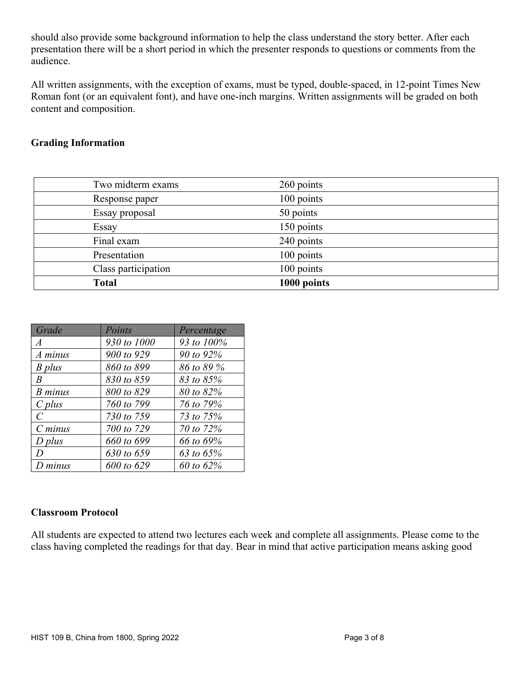should also provide some background information to help the class understand the story better. After each presentation there will be a short period in which the presenter responds to questions or comments from the audience.

All written assignments, with the exception of exams, must be typed, double-spaced, in 12-point Times New Roman font (or an equivalent font), and have one-inch margins. Written assignments will be graded on both content and composition.

## **Grading Information**

| <b>Total</b>        | 1000 points |  |
|---------------------|-------------|--|
| Class participation | 100 points  |  |
| Presentation        | 100 points  |  |
| Final exam          | 240 points  |  |
| Essay               | 150 points  |  |
| Essay proposal      | 50 points   |  |
| Response paper      | 100 points  |  |
| Two midterm exams   | 260 points  |  |
|                     |             |  |

| Grade          | Points      | Percentage |
|----------------|-------------|------------|
| $\overline{A}$ | 930 to 1000 | 93 to 100% |
| A minus        | 900 to 929  | 90 to 92%  |
| B plus         | 860 to 899  | 86 to 89 % |
| B              | 830 to 859  | 83 to 85%  |
| <b>B</b> minus | 800 to 829  | 80 to 82%  |
| $C$ plus       | 760 to 799  | 76 to 79%  |
| $\mathcal{C}$  | 730 to 759  | 73 to 75%  |
| $C \, minus$   | 700 to 729  | 70 to 72%  |
| $D$ plus       | 660 to 699  | 66 to 69%  |
| D              | 630 to 659  | 63 to 65%  |
| $D$ minus      | 600 to 629  | 60 to 62%  |

### **Classroom Protocol**

All students are expected to attend two lectures each week and complete all assignments. Please come to the class having completed the readings for that day. Bear in mind that active participation means asking good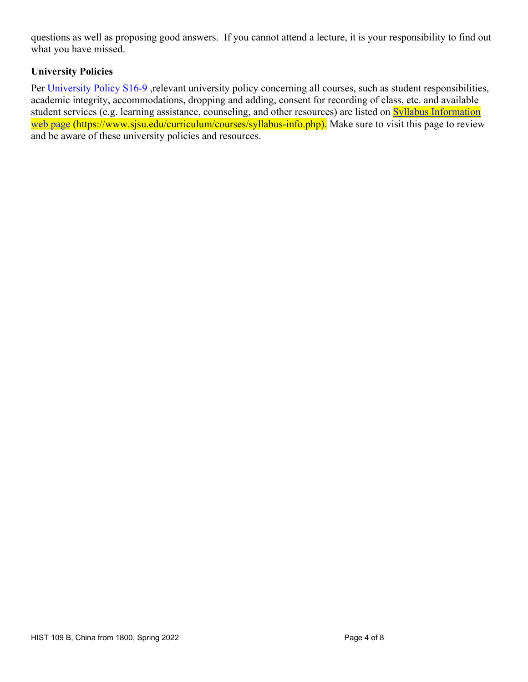questions as well as proposing good answers. If you cannot attend a lecture, it is your responsibility to find out what you have missed.

## **University Policies**

Per University Policy S16-9, relevant university policy concerning all courses, such as student responsibilities, academic integrity, accommodations, dropping and adding, consent for recording of class, etc. and available student services (e.g. learning assistance, counseling, and other resources) are listed on **Syllabus Information** web page (https://www.sjsu.edu/curriculum/courses/syllabus-info.php). Make sure to visit this page to review and be aware of these university policies and resources.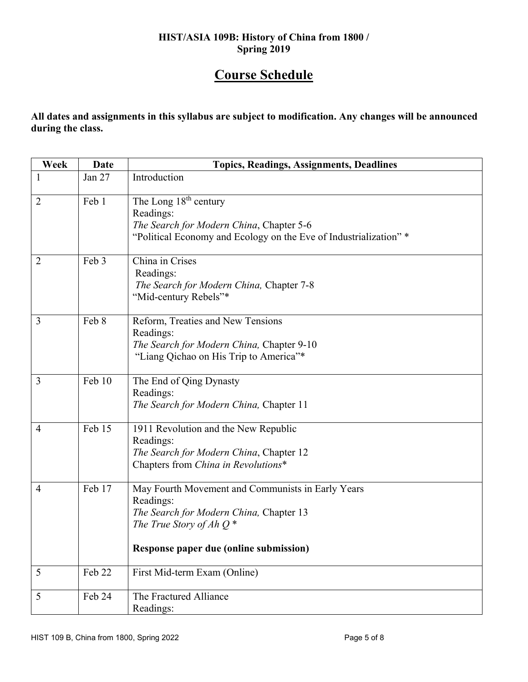## **HIST/ASIA 109B: History of China from 1800 / Spring 2019**

# **Course Schedule**

**All dates and assignments in this syllabus are subject to modification. Any changes will be announced during the class.** 

| Week           | <b>Date</b> | <b>Topics, Readings, Assignments, Deadlines</b>                                                                                                                                   |
|----------------|-------------|-----------------------------------------------------------------------------------------------------------------------------------------------------------------------------------|
| 1              | Jan 27      | Introduction                                                                                                                                                                      |
| $\overline{2}$ | Feb 1       | The Long $18th$ century<br>Readings:<br>The Search for Modern China, Chapter 5-6<br>"Political Economy and Ecology on the Eve of Industrialization"*                              |
| $\overline{2}$ | Feb 3       | China in Crises<br>Readings:<br>The Search for Modern China, Chapter 7-8<br>"Mid-century Rebels"*                                                                                 |
| 3              | Feb 8       | Reform, Treaties and New Tensions<br>Readings:<br>The Search for Modern China, Chapter 9-10<br>"Liang Qichao on His Trip to America"*                                             |
| 3              | Feb 10      | The End of Qing Dynasty<br>Readings:<br>The Search for Modern China, Chapter 11                                                                                                   |
| $\overline{4}$ | Feb 15      | 1911 Revolution and the New Republic<br>Readings:<br>The Search for Modern China, Chapter 12<br>Chapters from China in Revolutions*                                               |
| $\overline{4}$ | Feb 17      | May Fourth Movement and Communists in Early Years<br>Readings:<br>The Search for Modern China, Chapter 13<br>The True Story of Ah $Q^*$<br>Response paper due (online submission) |
| 5              | Feb 22      | First Mid-term Exam (Online)                                                                                                                                                      |
| 5              | Feb 24      | The Fractured Alliance<br>Readings:                                                                                                                                               |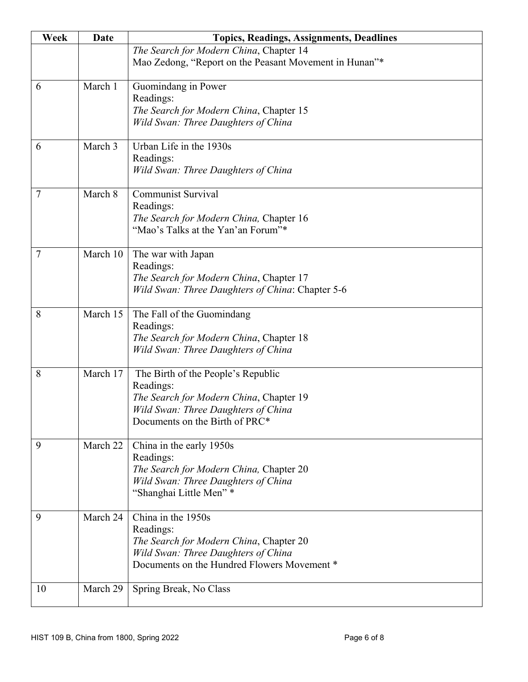| Week | <b>Date</b> | <b>Topics, Readings, Assignments, Deadlines</b>                                                                                                                     |
|------|-------------|---------------------------------------------------------------------------------------------------------------------------------------------------------------------|
|      |             | The Search for Modern China, Chapter 14<br>Mao Zedong, "Report on the Peasant Movement in Hunan"*                                                                   |
| 6    | March 1     | Guomindang in Power<br>Readings:<br>The Search for Modern China, Chapter 15<br>Wild Swan: Three Daughters of China                                                  |
| 6    | March 3     | Urban Life in the 1930s<br>Readings:<br>Wild Swan: Three Daughters of China                                                                                         |
| 7    | March 8     | <b>Communist Survival</b><br>Readings:<br>The Search for Modern China, Chapter 16<br>"Mao's Talks at the Yan'an Forum"*                                             |
| 7    | March 10    | The war with Japan<br>Readings:<br>The Search for Modern China, Chapter 17<br>Wild Swan: Three Daughters of China: Chapter 5-6                                      |
| 8    | March 15    | The Fall of the Guomindang<br>Readings:<br>The Search for Modern China, Chapter 18<br>Wild Swan: Three Daughters of China                                           |
| 8    | March 17    | The Birth of the People's Republic<br>Readings:<br>The Search for Modern China, Chapter 19<br>Wild Swan: Three Daughters of China<br>Documents on the Birth of PRC* |
| 9    | March 22    | China in the early 1950s<br>Readings:<br>The Search for Modern China, Chapter 20<br>Wild Swan: Three Daughters of China<br>"Shanghai Little Men" *                  |
| 9    | March 24    | China in the 1950s<br>Readings:<br>The Search for Modern China, Chapter 20<br>Wild Swan: Three Daughters of China<br>Documents on the Hundred Flowers Movement *    |
| 10   | March 29    | Spring Break, No Class                                                                                                                                              |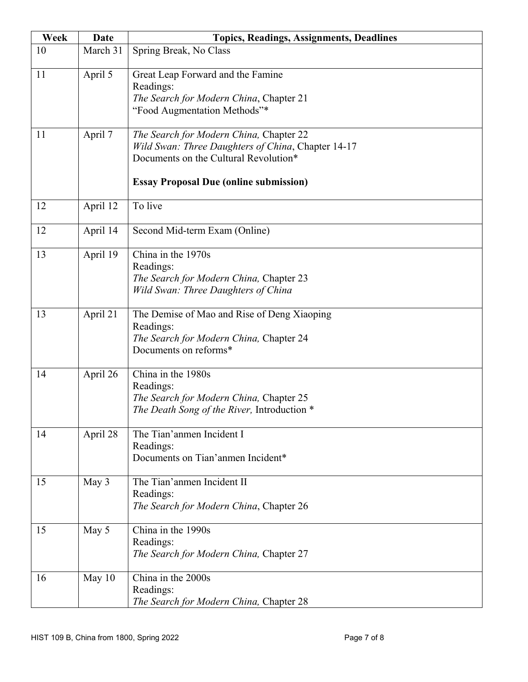| Week | <b>Date</b> | <b>Topics, Readings, Assignments, Deadlines</b>                                             |
|------|-------------|---------------------------------------------------------------------------------------------|
| 10   | March 31    | Spring Break, No Class                                                                      |
| 11   | April 5     | Great Leap Forward and the Famine                                                           |
|      |             | Readings:                                                                                   |
|      |             | The Search for Modern China, Chapter 21                                                     |
|      |             | "Food Augmentation Methods"*                                                                |
| 11   | April 7     | The Search for Modern China, Chapter 22                                                     |
|      |             | Wild Swan: Three Daughters of China, Chapter 14-17<br>Documents on the Cultural Revolution* |
|      |             |                                                                                             |
|      |             | <b>Essay Proposal Due (online submission)</b>                                               |
| 12   | April 12    | To live                                                                                     |
| 12   | April 14    | Second Mid-term Exam (Online)                                                               |
| 13   | April 19    | China in the 1970s                                                                          |
|      |             | Readings:                                                                                   |
|      |             | The Search for Modern China, Chapter 23                                                     |
|      |             | Wild Swan: Three Daughters of China                                                         |
| 13   | April 21    | The Demise of Mao and Rise of Deng Xiaoping                                                 |
|      |             | Readings:                                                                                   |
|      |             | The Search for Modern China, Chapter 24<br>Documents on reforms*                            |
|      |             |                                                                                             |
| 14   | April 26    | China in the 1980s                                                                          |
|      |             | Readings:                                                                                   |
|      |             | The Search for Modern China, Chapter 25<br>The Death Song of the River, Introduction *      |
|      |             |                                                                                             |
| 14   | April 28    | The Tian'anmen Incident I                                                                   |
|      |             | Readings:<br>Documents on Tian'anmen Incident*                                              |
|      |             |                                                                                             |
| 15   | May 3       | The Tian'anmen Incident II                                                                  |
|      |             | Readings:                                                                                   |
|      |             | The Search for Modern China, Chapter 26                                                     |
| 15   | May 5       | China in the 1990s                                                                          |
|      |             | Readings:                                                                                   |
|      |             | The Search for Modern China, Chapter 27                                                     |
| 16   | May $10$    | China in the 2000s                                                                          |
|      |             | Readings:                                                                                   |
|      |             | The Search for Modern China, Chapter 28                                                     |